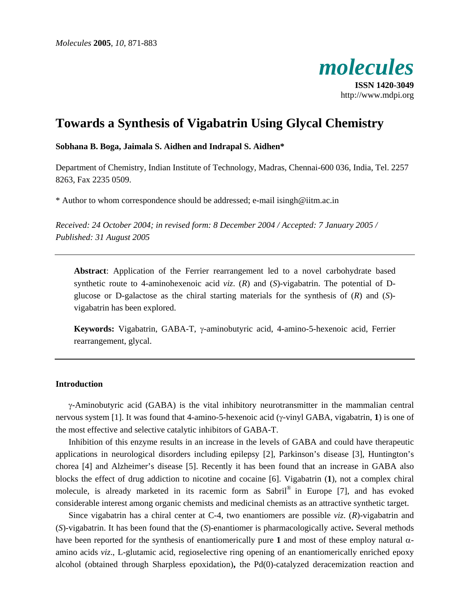

# **Towards a Synthesis of Vigabatrin Using Glycal Chemistry**

## **Sobhana B. Boga, Jaimala S. Aidhen and Indrapal S. Aidhen\***

Department of Chemistry, Indian Institute of Technology, Madras, Chennai-600 036, India, Tel. 2257 8263, Fax 2235 0509.

\* Author to whom correspondence should be addressed; e-mail isingh@iitm.ac.in

*Received: 24 October 2004; in revised form: 8 December 2004 / Accepted: 7 January 2005 / Published: 31 August 2005* 

**Abstract**: Application of the Ferrier rearrangement led to a novel carbohydrate based synthetic route to 4-aminohexenoic acid *viz*. (*R*) and (*S*)-vigabatrin. The potential of Dglucose or D-galactose as the chiral starting materials for the synthesis of (*R*) and (*S*) vigabatrin has been explored.

**Keywords:** Vigabatrin, GABA-T, γ-aminobutyric acid, 4-amino-5-hexenoic acid, Ferrier rearrangement, glycal.

## **Introduction**

γ-Aminobutyric acid (GABA) is the vital inhibitory neurotransmitter in the mammalian central nervous system [1]. It was found that 4-amino-5-hexenoic acid (γ-vinyl GABA, vigabatrin, **1**) is one of the most effective and selective catalytic inhibitors of GABA-T.

Inhibition of this enzyme results in an increase in the levels of GABA and could have therapeutic applications in neurological disorders including epilepsy [2], Parkinson's disease [3], Huntington's chorea [4] and Alzheimer's disease [5]. Recently it has been found that an increase in GABA also blocks the effect of drug addiction to nicotine and cocaine [6]. Vigabatrin (**1**), not a complex chiral molecule, is already marketed in its racemic form as Sabril® in Europe [7], and has evoked considerable interest among organic chemists and medicinal chemists as an attractive synthetic target.

Since vigabatrin has a chiral center at C-4, two enantiomers are possible *viz*. (*R*)-vigabatrin and (*S*)-vigabatrin. It has been found that the (*S*)-enantiomer is pharmacologically active**.** Several methods have been reported for the synthesis of enantiomerically pure **1** and most of these employ natural αamino acids *viz*., L-glutamic acid, regioselective ring opening of an enantiomerically enriched epoxy alcohol (obtained through Sharpless epoxidation)**,** the Pd(0)-catalyzed deracemization reaction and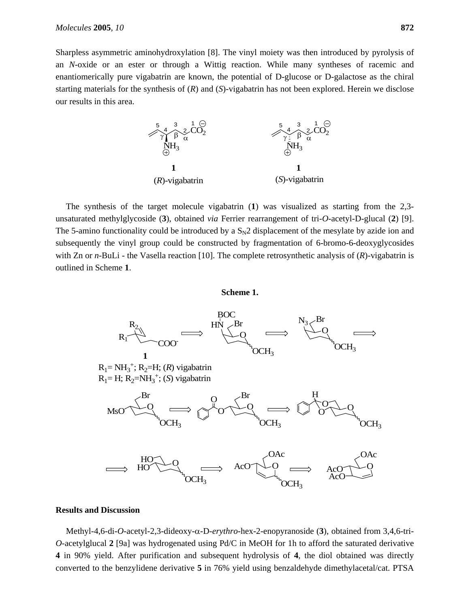Sharpless asymmetric aminohydroxylation [8]. The vinyl moiety was then introduced by pyrolysis of an *N*-oxide or an ester or through a Wittig reaction. While many syntheses of racemic and enantiomerically pure vigabatrin are known, the potential of D-glucose or D-galactose as the chiral starting materials for the synthesis of (*R*) and (*S*)-vigabatrin has not been explored. Herein we disclose our results in this area.



The synthesis of the target molecule vigabatrin (**1**) was visualized as starting from the 2,3 unsaturated methylglycoside (**3**), obtained *via* Ferrier rearrangement of tri-*O*-acetyl-D-glucal (**2**) [9]. The 5-amino functionality could be introduced by a  $S<sub>N</sub>2$  displacement of the mesylate by azide ion and subsequently the vinyl group could be constructed by fragmentation of 6-bromo-6-deoxyglycosides with Zn or *n*-BuLi - the Vasella reaction [10]. The complete retrosynthetic analysis of (*R*)-vigabatrin is outlined in Scheme **1**.

## **Scheme 1.**



## **Results and Discussion**

Methyl-4,6-di-*O*-acetyl-2,3-dideoxy-α-D-*erythro*-hex-2-enopyranoside (**3**), obtained from 3,4,6-tri-*O*-acetylglucal **2** [9a] was hydrogenated using Pd/C in MeOH for 1h to afford the saturated derivative **4** in 90% yield. After purification and subsequent hydrolysis of **4**, the diol obtained was directly converted to the benzylidene derivative **5** in 76% yield using benzaldehyde dimethylacetal/cat. PTSA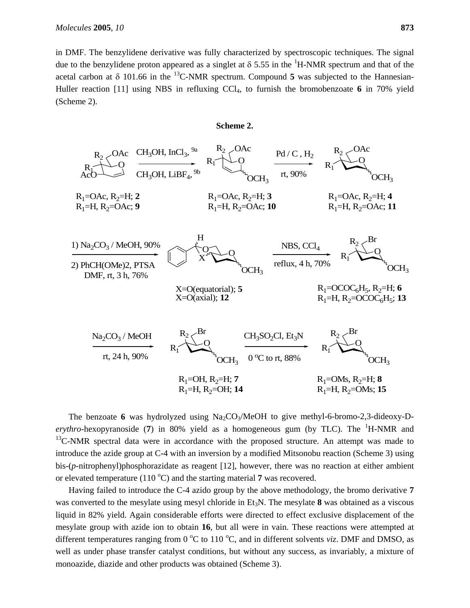in DMF. The benzylidene derivative was fully characterized by spectroscopic techniques. The signal due to the benzylidene proton appeared as a singlet at  $\delta$  5.55 in the <sup>1</sup>H-NMR spectrum and that of the acetal carbon at  $\delta$  101.66 in the <sup>13</sup>C-NMR spectrum. Compound 5 was subjected to the Hannesian-Huller reaction [11] using NBS in refluxing CCl<sub>4</sub>, to furnish the bromobenzoate 6 in 70% yield (Scheme 2).



The benzoate 6 was hydrolyzed using  $Na<sub>2</sub>CO<sub>3</sub>/MeOH$  to give methyl-6-bromo-2,3-dideoxy-D*erythro*-hexopyranoside (7) in 80% yield as a homogeneous gum (by TLC). The <sup>1</sup>H-NMR and  $13$ C-NMR spectral data were in accordance with the proposed structure. An attempt was made to introduce the azide group at C-4 with an inversion by a modified Mitsonobu reaction (Scheme 3) using bis-(*p*-nitrophenyl)phosphorazidate as reagent [12], however, there was no reaction at either ambient or elevated temperature  $(110 \degree C)$  and the starting material 7 was recovered.

Having failed to introduce the C-4 azido group by the above methodology, the bromo derivative **7** was converted to the mesylate using mesyl chloride in Et<sub>3</sub>N. The mesylate 8 was obtained as a viscous liquid in 82% yield. Again considerable efforts were directed to effect exclusive displacement of the mesylate group with azide ion to obtain **16**, but all were in vain. These reactions were attempted at different temperatures ranging from  $0^{\circ}$ C to  $110^{\circ}$ C, and in different solvents *viz*. DMF and DMSO, as well as under phase transfer catalyst conditions, but without any success, as invariably, a mixture of monoazide, diazide and other products was obtained (Scheme 3).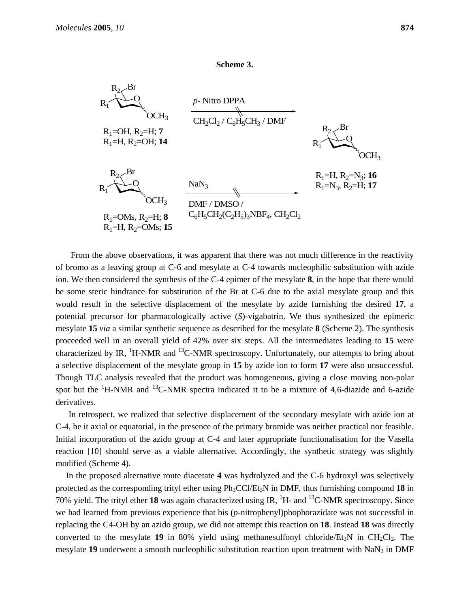#### **Scheme 3.**



 From the above observations, it was apparent that there was not much difference in the reactivity of bromo as a leaving group at C-6 and mesylate at C-4 towards nucleophilic substitution with azide ion. We then considered the synthesis of the C-4 epimer of the mesylate **8**, in the hope that there would be some steric hindrance for substitution of the Br at C-6 due to the axial mesylate group and this would result in the selective displacement of the mesylate by azide furnishing the desired **17**, a potential precursor for pharmacologically active (*S*)-vigabatrin. We thus synthesized the epimeric mesylate **15** *via* a similar synthetic sequence as described for the mesylate **8** (Scheme 2). The synthesis proceeded well in an overall yield of 42% over six steps. All the intermediates leading to **15** were characterized by IR,  ${}^{1}$ H-NMR and  ${}^{13}$ C-NMR spectroscopy. Unfortunately, our attempts to bring about a selective displacement of the mesylate group in **15** by azide ion to form **17** were also unsuccessful. Though TLC analysis revealed that the product was homogeneous, giving a close moving non-polar spot but the  ${}^{1}$ H-NMR and  ${}^{13}$ C-NMR spectra indicated it to be a mixture of 4,6-diazide and 6-azide derivatives.

In retrospect, we realized that selective displacement of the secondary mesylate with azide ion at C-4, be it axial or equatorial, in the presence of the primary bromide was neither practical nor feasible. Initial incorporation of the azido group at C-4 and later appropriate functionalisation for the Vasella reaction [10] should serve as a viable alternative. Accordingly, the synthetic strategy was slightly modified (Scheme 4).

In the proposed alternative route diacetate **4** was hydrolyzed and the C-6 hydroxyl was selectively protected as the corresponding trityl ether using Ph3CCl/Et3N in DMF, thus furnishing compound **18** in 70% yield. The trityl ether 18 was again characterized using IR,  $^1$ H- and  $^{13}$ C-NMR spectroscopy. Since we had learned from previous experience that bis (*p*-nitrophenyl)phophorazidate was not successful in replacing the C4-OH by an azido group, we did not attempt this reaction on **18**. Instead **18** was directly converted to the mesylate **19** in 80% yield using methanesulfonyl chloride/ $Et_3N$  in  $CH_2Cl_2$ . The mesylate **19** underwent a smooth nucleophilic substitution reaction upon treatment with NaN<sub>3</sub> in DMF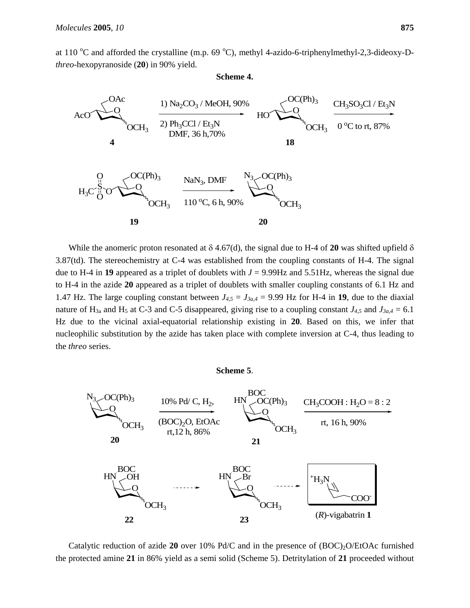at 110 °C and afforded the crystalline (m.p. 69 °C), methyl 4-azido-6-triphenylmethyl-2,3-dideoxy-D*threo*-hexopyranoside (**20**) in 90% yield.

#### **Scheme 4.**



While the anomeric proton resonated at  $\delta$  4.67(d), the signal due to H-4 of **20** was shifted upfield  $\delta$ 3.87(td). The stereochemistry at C-4 was established from the coupling constants of H-4. The signal due to H-4 in 19 appeared as a triplet of doublets with  $J = 9.99$ Hz and 5.51Hz, whereas the signal due to H-4 in the azide **20** appeared as a triplet of doublets with smaller coupling constants of 6.1 Hz and 1.47 Hz. The large coupling constant between  $J_{4,5} = J_{3a,4} = 9.99$  Hz for H-4 in 19, due to the diaxial nature of H<sub>3a</sub> and H<sub>5</sub> at C-3 and C-5 disappeared, giving rise to a coupling constant  $J_{4,5}$  and  $J_{3a,4} = 6.1$ Hz due to the vicinal axial-equatorial relationship existing in **20**. Based on this, we infer that nucleophilic substitution by the azide has taken place with complete inversion at C-4, thus leading to the *threo* series.

#### **Scheme 5**.



Catalytic reduction of azide 20 over 10% Pd/C and in the presence of (BOC)<sub>2</sub>O/EtOAc furnished the protected amine **21** in 86% yield as a semi solid (Scheme 5). Detritylation of **21** proceeded without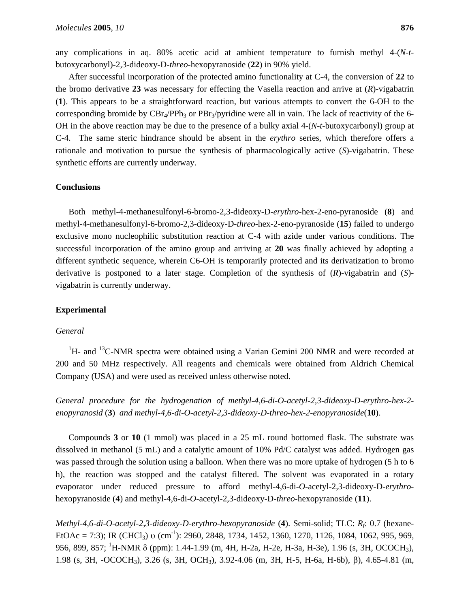any complications in aq. 80% acetic acid at ambient temperature to furnish methyl 4-(*N*-*t*butoxycarbonyl)-2,3-dideoxy-D-*threo*-hexopyranoside (**22**) in 90% yield.

After successful incorporation of the protected amino functionality at C-4, the conversion of **22** to the bromo derivative **23** was necessary for effecting the Vasella reaction and arrive at (*R*)-vigabatrin (**1**). This appears to be a straightforward reaction, but various attempts to convert the 6-OH to the corresponding bromide by  $CBr_4/PPh_3$  or  $PBr_3/pyrid$  were all in vain. The lack of reactivity of the 6-OH in the above reaction may be due to the presence of a bulky axial 4-(*N*-*t*-butoxycarbonyl) group at C-4. The same steric hindrance should be absent in the *erythro* series, which therefore offers a rationale and motivation to pursue the synthesis of pharmacologically active (*S*)-vigabatrin. These synthetic efforts are currently underway.

## **Conclusions**

Both methyl-4-methanesulfonyl-6-bromo-2,3-dideoxy-D-*erythro*-hex-2-eno-pyranoside (**8**) and methyl-4-methanesulfonyl-6-bromo-2,3-dideoxy-D-*threo*-hex-2-eno-pyranoside (**15**) failed to undergo exclusive mono nucleophilic substitution reaction at C-4 with azide under various conditions. The successful incorporation of the amino group and arriving at **20** was finally achieved by adopting a different synthetic sequence, wherein C6-OH is temporarily protected and its derivatization to bromo derivative is postponed to a later stage. Completion of the synthesis of (*R*)-vigabatrin and (*S*) vigabatrin is currently underway.

## **Experimental**

#### *General*

 ${}^{1}$ H- and  ${}^{13}$ C-NMR spectra were obtained using a Varian Gemini 200 NMR and were recorded at 200 and 50 MHz respectively. All reagents and chemicals were obtained from Aldrich Chemical Company (USA) and were used as received unless otherwise noted.

*General procedure for the hydrogenation of methyl-4,6-di-O-acetyl-2,3-dideoxy-D-erythro-hex-2 enopyranosid* (**3**) *and methyl-4,6-di-O-acetyl-2,3-dideoxy-D-threo-hex-2-enopyranoside*(**10**).

Compounds **3** or **10** (1 mmol) was placed in a 25 mL round bottomed flask. The substrate was dissolved in methanol (5 mL) and a catalytic amount of 10% Pd/C catalyst was added. Hydrogen gas was passed through the solution using a balloon. When there was no more uptake of hydrogen (5 h to 6 h), the reaction was stopped and the catalyst filtered. The solvent was evaporated in a rotary evaporator under reduced pressure to afford methyl-4,6-di-*O*-acetyl-2,3-dideoxy-D-*erythro*hexopyranoside (**4**) and methyl-4,6-di-*O*-acetyl-2,3-dideoxy-D-*threo*-hexopyranoside (**11**).

*Methyl-4,6-di-O-acetyl-2,3-dideoxy-D-erythro-hexopyranoside* (**4**). Semi-solid; TLC: *Rf*: 0.7 (hexane-EtOAc = 7:3); IR (CHCl<sub>3</sub>) υ (cm<sup>-1</sup>): 2960, 2848, 1734, 1452, 1360, 1270, 1126, 1084, 1062, 995, 969, 956, 899, 857; <sup>1</sup>H-NMR δ (ppm): 1.44-1.99 (m, 4H, H-2a, H-2e, H-3a, H-3e), 1.96 (s, 3H, OCOCH<sub>3</sub>), 1.98 (s, 3H, -OCOCH3), 3.26 (s, 3H, OCH3), 3.92-4.06 (m, 3H, H-5, H-6a, H-6b), β), 4.65-4.81 (m,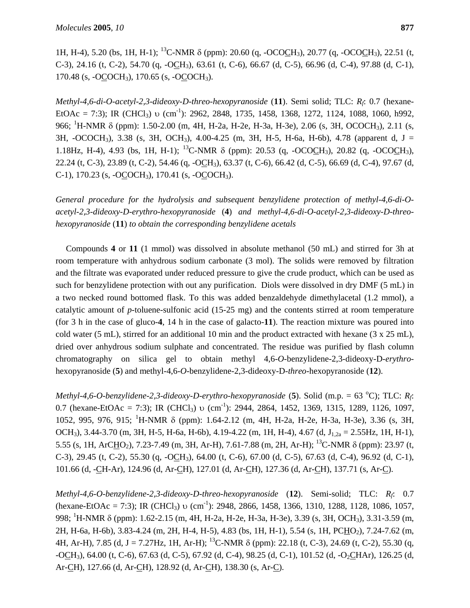1H, H-4), 5.20 (bs, 1H, H-1); 13C-NMR δ (ppm): 20.60 (q, -OCOCH3), 20.77 (q, -OCOCH3), 22.51 (t, C-3), 24.16 (t, C-2), 54.70 (q, -OCH3), 63.61 (t, C-6), 66.67 (d, C-5), 66.96 (d, C-4), 97.88 (d, C-1), 170.48 (s, -OCOCH3), 170.65 (s, -OCOCH3).

*Methyl-4,6-di-O-acetyl-2,3-dideoxy-D-threo-hexopyranoside* (**11**). Semi solid; TLC: *Rf*: 0.7 (hexane-EtOAc = 7:3); IR (CHCl<sub>3</sub>) υ (cm<sup>-1</sup>): 2962, 2848, 1735, 1458, 1368, 1272, 1124, 1088, 1060, h992, 966; <sup>1</sup>H-NMR δ (ppm): 1.50-2.00 (m, 4H, H-2a, H-2e, H-3a, H-3e), 2.06 (s, 3H, OCOCH<sub>3</sub>), 2.11 (s, 3H,  $-OCOCH_3$ ), 3.38 (s, 3H, OCH<sub>3</sub>), 4.00-4.25 (m, 3H, H-5, H-6a, H-6b), 4.78 (apparent d, J = 1.18Hz, H-4), 4.93 (bs, 1H, H-1); <sup>13</sup>C-NMR  $\delta$  (ppm): 20.53 (q, -OCOCH<sub>3</sub>), 20.82 (q, -OCOCH<sub>3</sub>), 22.24 (t, C-3), 23.89 (t, C-2), 54.46 (q, -OCH3), 63.37 (t, C-6), 66.42 (d, C-5), 66.69 (d, C-4), 97.67 (d, C-1), 170.23 (s, -OCOCH3), 170.41 (s, -OCOCH3).

*General procedure for the hydrolysis and subsequent benzylidene protection of methyl-4,6-di-Oacetyl-2,3-dideoxy-D-erythro-hexopyranoside* (**4**) *and methyl-4,6-di-O-acetyl-2,3-dideoxy-D-threohexopyranoside* (**11**) *to obtain the corresponding benzylidene acetals* 

Compounds **4** or **11** (1 mmol) was dissolved in absolute methanol (50 mL) and stirred for 3h at room temperature with anhydrous sodium carbonate (3 mol). The solids were removed by filtration and the filtrate was evaporated under reduced pressure to give the crude product, which can be used as such for benzylidene protection with out any purification. Diols were dissolved in dry DMF (5 mL) in a two necked round bottomed flask. To this was added benzaldehyde dimethylacetal (1.2 mmol), a catalytic amount of *p*-toluene-sulfonic acid (15-25 mg) and the contents stirred at room temperature (for 3 h in the case of gluco-**4**, 14 h in the case of galacto-**11**). The reaction mixture was poured into cold water (5 mL), stirred for an additional 10 min and the product extracted with hexane (3 x 25 mL), dried over anhydrous sodium sulphate and concentrated. The residue was purified by flash column chromatography on silica gel to obtain methyl 4,6-*O*-benzylidene-2,3-dideoxy-D-*erythro*hexopyranoside (**5**) and methyl-4,6-*O*-benzylidene-2,3-dideoxy-D-*threo*-hexopyranoside (**12**).

*Methyl-4,6-O-benzylidene-2,3-dideoxy-D-erythro-hexopyranoside* (5). Solid (m.p. = 63 °C); TLC: *R<sub>f</sub>*: 0.7 (hexane-EtOAc = 7:3); IR (CHCl<sub>3</sub>) υ (cm<sup>-1</sup>): 2944, 2864, 1452, 1369, 1315, 1289, 1126, 1097, 1052, 995, 976, 915; <sup>1</sup> H-NMR δ (ppm): 1.64-2.12 (m, 4H, H-2a, H-2e, H-3a, H-3e), 3.36 (s, 3H, OCH<sub>3</sub>), 3.44-3.70 (m, 3H, H-5, H-6a, H-6b), 4.19-4.22 (m, 1H, H-4), 4.67 (d,  $J_{1,2a} = 2.55$ Hz, 1H, H-1), 5.55 (s, 1H, ArCHO2), 7.23-7.49 (m, 3H, Ar-H), 7.61-7.88 (m, 2H, Ar-H); 13C-NMR δ (ppm): 23.97 (t, C-3), 29.45 (t, C-2), 55.30 (q, -OCH3), 64.00 (t, C-6), 67.00 (d, C-5), 67.63 (d, C-4), 96.92 (d, C-1), 101.66 (d, -CH-Ar), 124.96 (d, Ar-CH), 127.01 (d, Ar-CH), 127.36 (d, Ar-CH), 137.71 (s, Ar-C).

*Methyl-4,6-O-benzylidene-2,3-dideoxy-D-threo-hexopyranoside* (**12**). Semi-solid; TLC: *Rf*: 0.7  $(\text{hexane-EtOAc} = 7:3)$ ; IR  $(\text{CHCl}_3)$  υ  $(\text{cm}^{-1})$ : 2948, 2866, 1458, 1366, 1310, 1288, 1128, 1086, 1057, 998; <sup>1</sup>H-NMR δ (ppm): 1.62-2.15 (m, 4H, H-2a, H-2e, H-3a, H-3e), 3.39 (s, 3H, OCH<sub>3</sub>), 3.31-3.59 (m, 2H, H-6a, H-6b), 3.83-4.24 (m, 2H, H-4, H-5), 4.83 (bs, 1H, H-1), 5.54 (s, 1H, PCHO<sub>2</sub>), 7.24-7.62 (m, 4H, Ar-H), 7.85 (d, J = 7.27Hz, 1H, Ar-H); <sup>13</sup>C-NMR  $\delta$  (ppm): 22.18 (t, C-3), 24.69 (t, C-2), 55.30 (q,  $-OCH_3$ ), 64.00 (t, C-6), 67.63 (d, C-5), 67.92 (d, C-4), 98.25 (d, C-1), 101.52 (d, -O<sub>2</sub>CHAr), 126.25 (d, Ar-CH), 127.66 (d, Ar-CH), 128.92 (d, Ar-CH), 138.30 (s, Ar-C).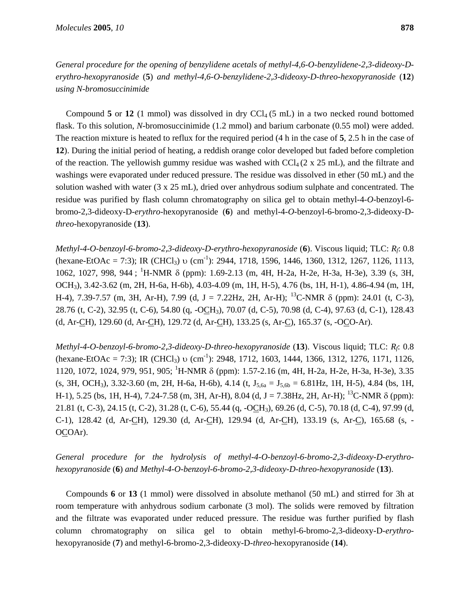*General procedure for the opening of benzylidene acetals of methyl-4,6-O-benzylidene-2,3-dideoxy-Derythro-hexopyranoside* (**5**) *and methyl-4,6-O-benzylidene-2,3-dideoxy-D-threo-hexopyranoside* (**12**) *using N-bromosuccinimide* 

Compound  $5$  or  $12$  (1 mmol) was dissolved in dry CCl<sub>4</sub> (5 mL) in a two necked round bottomed flask. To this solution, *N*-bromosuccinimide (1.2 mmol) and barium carbonate (0.55 mol) were added. The reaction mixture is heated to reflux for the required period (4 h in the case of **5**, 2.5 h in the case of **12**). During the initial period of heating, a reddish orange color developed but faded before completion of the reaction. The yellowish gummy residue was washed with  $\text{Cl}_4(2 \times 25 \text{ mL})$ , and the filtrate and washings were evaporated under reduced pressure. The residue was dissolved in ether (50 mL) and the solution washed with water (3 x 25 mL), dried over anhydrous sodium sulphate and concentrated. The residue was purified by flash column chromatography on silica gel to obtain methyl-4-*O*-benzoyl-6 bromo-2,3-dideoxy-D-*erythro*-hexopyranoside (**6**) and methyl-4-*O*-benzoyl-6-bromo-2,3-dideoxy-D*threo*-hexopyranoside (**13**).

*Methyl-4-O-benzoyl-6-bromo-2,3-dideoxy-D-erythro-hexopyranoside* (**6**). Viscous liquid; TLC: *Rf*: 0.8  $(\text{hexane-EtOAc} = 7:3)$ ; IR  $(\text{CHCl}_3)$  υ  $(\text{cm}^{-1})$ : 2944, 1718, 1596, 1446, 1360, 1312, 1267, 1126, 1113, 1062, 1027, 998, 944; <sup>1</sup>H-NMR δ (ppm): 1.69-2.13 (m, 4H, H-2a, H-2e, H-3a, H-3e), 3.39 (s, 3H, OCH3), 3.42-3.62 (m, 2H, H-6a, H-6b), 4.03-4.09 (m, 1H, H-5), 4.76 (bs, 1H, H-1), 4.86-4.94 (m, 1H, H-4), 7.39-7.57 (m, 3H, Ar-H), 7.99 (d, J = 7.22Hz, 2H, Ar-H); <sup>13</sup>C-NMR  $\delta$  (ppm): 24.01 (t, C-3), 28.76 (t, C-2), 32.95 (t, C-6), 54.80 (q, -OCH3), 70.07 (d, C-5), 70.98 (d, C-4), 97.63 (d, C-1), 128.43 (d, Ar-CH), 129.60 (d, Ar-CH), 129.72 (d, Ar-CH), 133.25 (s, Ar-C), 165.37 (s, -OCO-Ar).

*Methyl-4-O-benzoyl-6-bromo-2,3-dideoxy-D-threo-hexopyranoside* (**13**). Viscous liquid; TLC: *Rf*: 0.8 (hexane-EtOAc = 7:3); IR (CHCl<sub>3</sub>) υ (cm<sup>-1</sup>): 2948, 1712, 1603, 1444, 1366, 1312, 1276, 1171, 1126, 1120, 1072, 1024, 979, 951, 905; <sup>1</sup>H-NMR δ (ppm): 1.57-2.16 (m, 4H, H-2a, H-2e, H-3a, H-3e), 3.35  $(s, 3H, OCH_3)$ , 3.32-3.60 (m, 2H, H-6a, H-6b), 4.14 (t,  $J_{5,6a} = J_{5,6b} = 6.81 Hz$ , 1H, H-5), 4.84 (bs, 1H, H-1), 5.25 (bs, 1H, H-4), 7.24-7.58 (m, 3H, Ar-H), 8.04 (d, J = 7.38Hz, 2H, Ar-H); 13C-NMR δ (ppm): 21.81 (t, C-3), 24.15 (t, C-2), 31.28 (t, C-6), 55.44 (q, -OCH3), 69.26 (d, C-5), 70.18 (d, C-4), 97.99 (d, C-1), 128.42 (d, Ar-CH), 129.30 (d, Ar-CH), 129.94 (d, Ar-CH), 133.19 (s, Ar-C), 165.68 (s, - OCOAr).

*General procedure for the hydrolysis of methyl-4-O-benzoyl-6-bromo-2,3-dideoxy-D-erythrohexopyranoside* (**6**) *and Methyl-4-O-benzoyl-6-bromo-2,3-dideoxy-D-threo-hexopyranoside* (**13**).

Compounds **6** or **13** (1 mmol) were dissolved in absolute methanol (50 mL) and stirred for 3h at room temperature with anhydrous sodium carbonate (3 mol). The solids were removed by filtration and the filtrate was evaporated under reduced pressure. The residue was further purified by flash column chromatography on silica gel to obtain methyl-6-bromo-2,3-dideoxy-D-*erythro*hexopyranoside (**7**) and methyl-6-bromo-2,3-dideoxy-D-*threo*-hexopyranoside (**14**).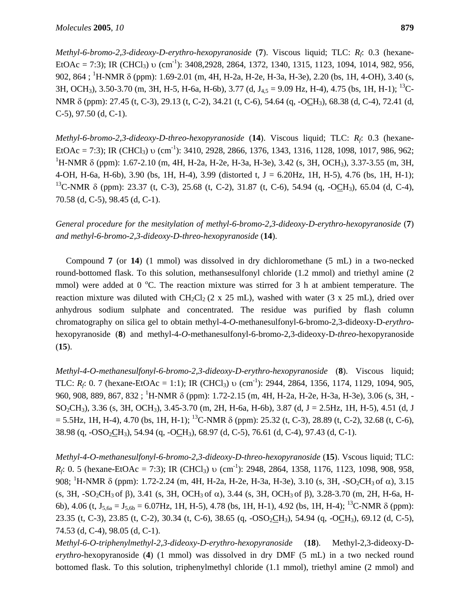*Methyl-6-bromo-2,3-dideoxy-D-erythro-hexopyranoside* (**7**). Viscous liquid; TLC: *Rf*: 0.3 (hexane-EtOAc = 7:3); IR (CHCl<sub>3</sub>) υ (cm<sup>-1</sup>): 3408,2928, 2864, 1372, 1340, 1315, 1123, 1094, 1014, 982, 956, 902, 864; <sup>1</sup>H-NMR δ (ppm): 1.69-2.01 (m, 4H, H-2a, H-2e, H-3a, H-3e), 2.20 (bs, 1H, 4-OH), 3.40 (s, 3H, OCH<sub>3</sub>), 3.50-3.70 (m, 3H, H-5, H-6a, H-6b), 3.77 (d, J<sub>4.5</sub> = 9.09 Hz, H-4), 4.75 (bs, 1H, H-1); <sup>13</sup>C-NMR δ (ppm): 27.45 (t, C-3), 29.13 (t, C-2), 34.21 (t, C-6), 54.64 (q, -OCH3), 68.38 (d, C-4), 72.41 (d, C-5), 97.50 (d, C-1).

*Methyl-6-bromo-2,3-dideoxy-D-threo-hexopyranoside* (**14**). Viscous liquid; TLC: *Rf*: 0.3 (hexane-EtOAc = 7:3); IR (CHCl<sub>3</sub>) υ (cm<sup>-1</sup>): 3410, 2928, 2866, 1376, 1343, 1316, 1128, 1098, 1017, 986, 962; <sup>1</sup>H-NMR δ (ppm): 1.67-2.10 (m, 4H, H-2a, H-2e, H-3a, H-3e), 3.42 (s, 3H, OCH<sub>3</sub>), 3.37-3.55 (m, 3H, 4-OH, H-6a, H-6b), 3.90 (bs, 1H, H-4), 3.99 (distorted t, J = 6.20Hz, 1H, H-5), 4.76 (bs, 1H, H-1); <sup>13</sup>C-NMR δ (ppm): 23.37 (t, C-3), 25.68 (t, C-2), 31.87 (t, C-6), 54.94 (g, -OCH<sub>3</sub>), 65.04 (d, C-4), 70.58 (d, C-5), 98.45 (d, C-1).

*General procedure for the mesitylation of methyl-6-bromo-2,3-dideoxy-D-erythro-hexopyranoside* (**7**) *and methyl-6-bromo-2,3-dideoxy-D-threo-hexopyranoside* (**14**).

Compound **7** (or **14**) (1 mmol) was dissolved in dry dichloromethane (5 mL) in a two-necked round-bottomed flask. To this solution, methansesulfonyl chloride (1.2 mmol) and triethyl amine (2 mmol) were added at  $0^{\circ}$ C. The reaction mixture was stirred for 3 h at ambient temperature. The reaction mixture was diluted with CH<sub>2</sub>Cl<sub>2</sub> (2 x 25 mL), washed with water (3 x 25 mL), dried over anhydrous sodium sulphate and concentrated. The residue was purified by flash column chromatography on silica gel to obtain methyl-4-*O*-methanesulfonyl-6-bromo-2,3-dideoxy-D-*erythro*hexopyranoside (**8**) and methyl-4-*O*-methanesulfonyl-6-bromo-2,3-dideoxy-D-*threo*-hexopyranoside (**15**).

*Methyl-4-O-methanesulfonyl-6-bromo-2,3-dideoxy-D-erythro-hexopyranoside* (**8**). Viscous liquid; TLC:  $R_f$ : 0. 7 (hexane-EtOAc = 1:1); IR (CHCl<sub>3</sub>) v (cm<sup>-1</sup>): 2944, 2864, 1356, 1174, 1129, 1094, 905, 960, 908, 889, 867, 832 ; <sup>1</sup>H-NMR δ (ppm): 1.72-2.15 (m, 4H, H-2a, H-2e, H-3a, H-3e), 3.06 (s, 3H, -SO2CH3), 3.36 (s, 3H, OCH3), 3.45-3.70 (m, 2H, H-6a, H-6b), 3.87 (d, J = 2.5Hz, 1H, H-5), 4.51 (d, J  $= 5.5$ Hz, 1H, H-4), 4.70 (bs, 1H, H-1); <sup>13</sup>C-NMR δ (ppm): 25.32 (t, C-3), 28.89 (t, C-2), 32.68 (t, C-6), 38.98 (q, -OSO<sub>2</sub>CH<sub>3</sub>), 54.94 (q, -OCH<sub>3</sub>), 68.97 (d, C-5), 76.61 (d, C-4), 97.43 (d, C-1).

*Methyl-4-O-methanesulfonyl-6-bromo-2,3-dideoxy-D-threo-hexopyranoside* (**15**). Vscous liquid; TLC: *R<sub>f</sub>*: 0. 5 (hexane-EtOAc = 7:3); IR (CHCl<sub>3</sub>) υ (cm<sup>-1</sup>): 2948, 2864, 1358, 1176, 1123, 1098, 908, 958, 908; <sup>1</sup>H-NMR δ (ppm): 1.72-2.24 (m, 4H, H-2a, H-2e, H-3a, H-3e), 3.10 (s, 3H, -SO<sub>2</sub>CH<sub>3</sub> of α), 3.15 (s, 3H, -SO2CH3 of β), 3.41 (s, 3H, OCH3 of α), 3.44 (s, 3H, OCH3 of β), 3.28-3.70 (m, 2H, H-6a, H-6b), 4.06 (t,  $J_{5,6a} = J_{5,6b} = 6.07 Hz$ , 1H, H-5), 4.78 (bs, 1H, H-1), 4.92 (bs, 1H, H-4); <sup>13</sup>C-NMR  $\delta$  (ppm): 23.35 (t, C-3), 23.85 (t, C-2), 30.34 (t, C-6), 38.65 (q, -OSO<sub>2</sub>CH<sub>3</sub>), 54.94 (q, -OCH<sub>3</sub>), 69.12 (d, C-5), 74.53 (d, C-4), 98.05 (d, C-1).

*Methyl-6-O-triphenylmethyl-2,3-dideoxy-D-erythro-hexopyranoside* (**18**). Methyl-2,3-dideoxy-D*erythro*-hexopyranoside (**4**) (1 mmol) was dissolved in dry DMF (5 mL) in a two necked round bottomed flask. To this solution, triphenylmethyl chloride (1.1 mmol), triethyl amine (2 mmol) and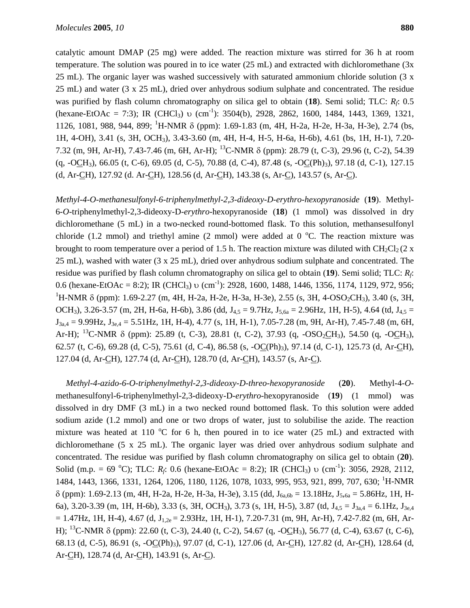catalytic amount DMAP (25 mg) were added. The reaction mixture was stirred for 36 h at room temperature. The solution was poured in to ice water (25 mL) and extracted with dichloromethane (3x 25 mL). The organic layer was washed successively with saturated ammonium chloride solution (3 x 25 mL) and water (3 x 25 mL), dried over anhydrous sodium sulphate and concentrated. The residue was purified by flash column chromatography on silica gel to obtain (**18**). Semi solid; TLC: *Rf*: 0.5 (hexane-EtOAc = 7:3); IR (CHCl<sub>3</sub>) υ (cm<sup>-1</sup>): 3504(b), 2928, 2862, 1600, 1484, 1443, 1369, 1321, 1126, 1081, 988, 944, 899; <sup>1</sup>H-NMR δ (ppm): 1.69-1.83 (m, 4H, H-2a, H-2e, H-3a, H-3e), 2.74 (bs, 1H, 4-OH), 3.41 (s, 3H, OCH3), 3.43-3.60 (m, 4H, H-4, H-5, H-6a, H-6b), 4.61 (bs, 1H, H-1), 7.20- 7.32 (m, 9H, Ar-H), 7.43-7.46 (m, 6H, Ar-H); 13C-NMR δ (ppm): 28.79 (t, C-3), 29.96 (t, C-2), 54.39 (q, -OCH3), 66.05 (t, C-6), 69.05 (d, C-5), 70.88 (d, C-4), 87.48 (s, -OC(Ph)3), 97.18 (d, C-1), 127.15 (d, Ar-CH), 127.92 (d. Ar-CH), 128.56 (d, Ar-CH), 143.38 (s, Ar-C), 143.57 (s, Ar-C).

*Methyl-4-O-methanesulfonyl-6-triphenylmethyl-2,3-dideoxy-D-erythro-hexopyranoside* (**19**). Methyl-6-*O*-triphenylmethyl-2,3-dideoxy-D-*erythro*-hexopyranoside (**18**) (1 mmol) was dissolved in dry dichloromethane (5 mL) in a two-necked round-bottomed flask. To this solution, methansesulfonyl chloride (1.2 mmol) and triethyl amine (2 mmol) were added at  $0^{\circ}$ C. The reaction mixture was brought to room temperature over a period of 1.5 h. The reaction mixture was diluted with  $CH_2Cl_2$  (2 x 25 mL), washed with water (3 x 25 mL), dried over anhydrous sodium sulphate and concentrated. The residue was purified by flash column chromatography on silica gel to obtain (**19**). Semi solid; TLC: *Rf*: 0.6 (hexane-EtOAc = 8:2); IR (CHCl<sub>3</sub>) υ (cm<sup>-1</sup>): 2928, 1600, 1488, 1446, 1356, 1174, 1129, 972, 956; <sup>1</sup>H-NMR δ (ppm): 1.69-2.27 (m, 4H, H-2a, H-2e, H-3a, H-3e), 2.55 (s, 3H, 4-OSO<sub>2</sub>CH<sub>3</sub>), 3.40 (s, 3H, OCH<sub>3</sub>), 3.26-3.57 (m, 2H, H-6a, H-6b), 3.86 (dd, J<sub>4.5</sub> = 9.7Hz, J<sub>5.6a</sub> = 2.96Hz, 1H, H-5), 4.64 (td, J<sub>4.5</sub> =  $J_{3a,4} = 9.99$ Hz,  $J_{3e,4} = 5.51$ Hz, 1H, H-4), 4.77 (s, 1H, H-1), 7.05-7.28 (m, 9H, Ar-H), 7.45-7.48 (m, 6H, Ar-H); <sup>13</sup>C-NMR δ (ppm): 25.89 (t, C-3), 28.81 (t, C-2), 37.93 (q, -OSO<sub>2</sub>CH<sub>3</sub>), 54.50 (q, -OCH<sub>3</sub>), 62.57 (t, C-6), 69.28 (d, C-5), 75.61 (d, C-4), 86.58 (s, -OC(Ph)3), 97.14 (d, C-1), 125.73 (d, Ar-CH), 127.04 (d, Ar-CH), 127.74 (d, Ar-CH), 128.70 (d, Ar-CH), 143.57 (s, Ar-C).

*Methyl-4-azido-6-O-triphenylmethyl-2,3-dideoxy-D-threo-hexopyranoside* (**20**). Methyl-4-*O*methanesulfonyl-6-triphenylmethyl-2,3-dideoxy-D-*erythro*-hexopyranoside (**19**) (1 mmol) was dissolved in dry DMF (3 mL) in a two necked round bottomed flask. To this solution were added sodium azide (1.2 mmol) and one or two drops of water, just to solubilise the azide. The reaction mixture was heated at 110  $^{\circ}$ C for 6 h, then poured in to ice water (25 mL) and extracted with dichloromethane (5 x 25 mL). The organic layer was dried over anhydrous sodium sulphate and concentrated. The residue was purified by flash column chromatography on silica gel to obtain (**20**). Solid (m.p. = 69 °C); TLC:  $R_f$ : 0.6 (hexane-EtOAc = 8:2); IR (CHCl<sub>3</sub>) v (cm<sup>-1</sup>): 3056, 2928, 2112, 1484, 1443, 1366, 1331, 1264, 1206, 1180, 1126, 1078, 1033, 995, 953, 921, 899, 707, 630; <sup>1</sup>H-NMR  $\delta$  (ppm): 1.69-2.13 (m, 4H, H-2a, H-2e, H-3a, H-3e), 3.15 (dd, J<sub>6a,6b</sub> = 13.18Hz, J<sub>5,6a</sub> = 5.86Hz, 1H, H-6a), 3.20-3.39 (m, 1H, H-6b), 3.33 (s, 3H, OCH<sub>3</sub>), 3.73 (s, 1H, H-5), 3.87 (td,  $J_{4.5} = J_{3a.4} = 6.1 Hz$ ,  $J_{3e.4}$  $= 1.47$ Hz, 1H, H-4), 4.67 (d, J<sub>1,2e</sub> = 2.93Hz, 1H, H-1), 7.20-7.31 (m, 9H, Ar-H), 7.42-7.82 (m, 6H, Ar-H); 13C-NMR δ (ppm): 22.60 (t, C-3), 24.40 (t, C-2), 54.67 (q, -OCH3), 56.77 (d, C-4), 63.67 (t, C-6), 68.13 (d, C-5), 86.91 (s, -OC(Ph)3), 97.07 (d, C-1), 127.06 (d, Ar-CH), 127.82 (d, Ar-CH), 128.64 (d, Ar-CH), 128.74 (d, Ar-CH), 143.91 (s, Ar-C).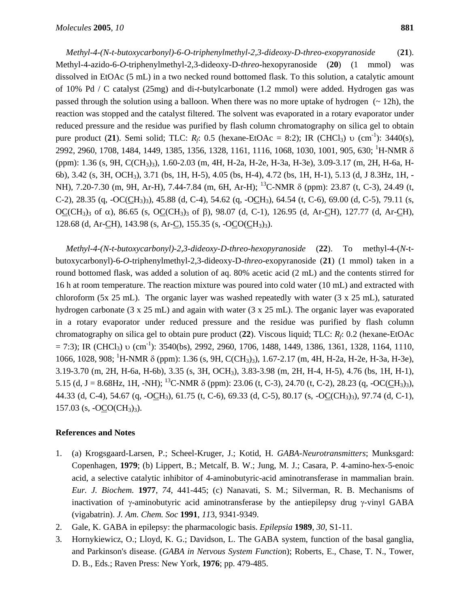*Methyl-4-(N-t-butoxycarbonyl)-6-O-triphenylmethyl-2,3-dideoxy-D-threo-exopyranoside* (**21**). Methyl-4-azido-6-*O*-triphenylmethyl-2,3-dideoxy-D-*threo*-hexopyranoside (**20**) (1 mmol) was dissolved in EtOAc (5 mL) in a two necked round bottomed flask. To this solution, a catalytic amount of 10% Pd / C catalyst (25mg) and di-*t*-butylcarbonate (1.2 mmol) were added. Hydrogen gas was passed through the solution using a balloon. When there was no more uptake of hydrogen  $\left(\sim 12h\right)$ , the reaction was stopped and the catalyst filtered. The solvent was evaporated in a rotary evaporator under reduced pressure and the residue was purified by flash column chromatography on silica gel to obtain pure product (**21**). Semi solid; TLC: *R<sub>f</sub>*: 0.5 (hexane-EtOAc = 8:2); IR (CHCl<sub>3</sub>) υ (cm<sup>-1</sup>): 3440(s), 2992, 2960, 1708, 1484, 1449, 1385, 1356, 1328, 1161, 1116, 1068, 1030, 1001, 905, 630; <sup>1</sup>H-NMR δ (ppm): 1.36 (s, 9H, C(CH3)3), 1.60-2.03 (m, 4H, H-2a, H-2e, H-3a, H-3e), 3.09-3.17 (m, 2H, H-6a, H-6b), 3.42 (s, 3H, OCH3), 3.71 (bs, 1H, H-5), 4.05 (bs, H-4), 4.72 (bs, 1H, H-1), 5.13 (d, J 8.3Hz, 1H, - NH), 7.20-7.30 (m, 9H, Ar-H), 7.44-7.84 (m, 6H, Ar-H); <sup>13</sup>C-NMR δ (ppm): 23.87 (t, C-3), 24.49 (t, C-2), 28.35 (q, -OC(CH3)3), 45.88 (d, C-4), 54.62 (q, -OCH3), 64.54 (t, C-6), 69.00 (d, C-5), 79.11 (s, OC(CH<sub>3</sub>)<sub>3</sub> of α), 86.65 (s, OC(CH<sub>3</sub>)<sub>3</sub> of β), 98.07 (d, C-1), 126.95 (d, Ar-CH), 127.77 (d, Ar-CH), 128.68 (d, Ar-CH), 143.98 (s, Ar-C), 155.35 (s, -OCO(CH<sub>3</sub>)<sub>3</sub>).

*Methyl-4-(N-t-butoxycarbonyl)-2,3-dideoxy-D-threo-hexopyranoside* (**22**). To methyl-4-(*N*-tbutoxycarbonyl)-6-*O*-triphenylmethyl-2,3-dideoxy-D-*threo*-exopyranoside (**21**) (1 mmol) taken in a round bottomed flask, was added a solution of aq. 80% acetic acid (2 mL) and the contents stirred for 16 h at room temperature. The reaction mixture was poured into cold water (10 mL) and extracted with chloroform (5x 25 mL). The organic layer was washed repeatedly with water (3 x 25 mL), saturated hydrogen carbonate (3 x 25 mL) and again with water (3 x 25 mL). The organic layer was evaporated in a rotary evaporator under reduced pressure and the residue was purified by flash column chromatography on silica gel to obtain pure product (**22**). Viscous liquid; TLC: *Rf*: 0.2 (hexane-EtOAc  $= 7:3$ ); IR (CHCl<sub>3</sub>) υ (cm<sup>-1</sup>): 3540(bs), 2992, 2960, 1706, 1488, 1449, 1386, 1361, 1328, 1164, 1110, 1066, 1028, 908; 1 H-NMR δ (ppm): 1.36 (s, 9H, C(CH3)3), 1.67-2.17 (m, 4H, H-2a, H-2e, H-3a, H-3e), 3.19-3.70 (m, 2H, H-6a, H-6b), 3.35 (s, 3H, OCH3), 3.83-3.98 (m, 2H, H-4, H-5), 4.76 (bs, 1H, H-1), 5.15 (d, J = 8.68Hz, 1H, -NH); <sup>13</sup>C-NMR  $\delta$  (ppm): 23.06 (t, C-3), 24.70 (t, C-2), 28.23 (q, -OC(CH<sub>3</sub>)<sub>3</sub>), 44.33 (d, C-4), 54.67 (q, -OCH3), 61.75 (t, C-6), 69.33 (d, C-5), 80.17 (s, -OC(CH3)3), 97.74 (d, C-1),  $157.03$  (s,  $-OCO(CH_3)_3$ ).

## **References and Notes**

- 1. (a) Krogsgaard-Larsen, P.; Scheel-Kruger, J.; Kotid, H. *GABA-Neurotransmitters*; Munksgard: Copenhagen, **1979**; (b) Lippert, B.; Metcalf, B. W.; Jung, M. J.; Casara, P. 4-amino-hex-5-enoic acid, a selective catalytic inhibitor of 4-aminobutyric-acid aminotransferase in mammalian brain. *Eur. J. Biochem.* **1977**, *74*, 441-445; (c) Nanavati, S. M.; Silverman, R. B. Mechanisms of inactivation of γ-aminobutyric acid aminotransferase by the antiepilepsy drug γ-vinyl GABA (vigabatrin). *J. Am. Chem. Soc* **1991**, *11*3, 9341-9349.
- 2. Gale, K. GABA in epilepsy: the pharmacologic basis. *Epilepsia* **1989**, *30*, S1-11.
- 3. Hornykiewicz, O.; Lloyd, K. G.; Davidson, L. The GABA system, function of the basal ganglia, and Parkinson's disease. (*GABA in Ne*r*vous System Functio*n); Roberts, E., Chase, T. N., Tower, D. B., Eds.; Raven Press: New York, **1976**; pp. 479-485.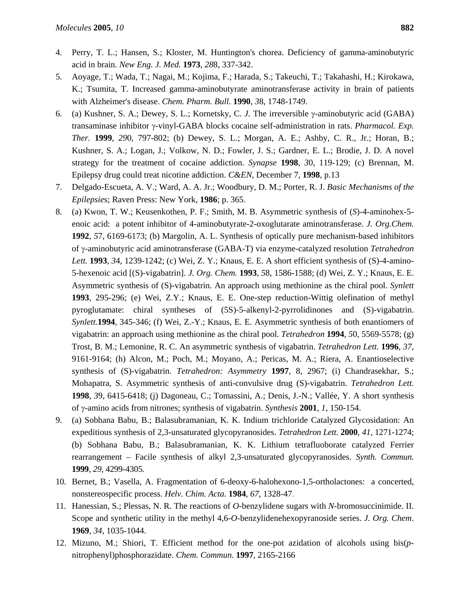- 4. Perry, T. L.; Hansen, S.; Kloster, M. Huntington's chorea. Deficiency of gamma-aminobutyric acid in brain. *New Eng. J. Med.* **1973**, *28*8, 337-342.
- 5. Aoyage, T.; Wada, T.; Nagai, M.; Kojima, F.; Harada, S.; Takeuchi, T.; Takahashi, H.; Kirokawa, K.; Tsumita, T. Increased gamma-aminobutyrate aminotransferase activity in brain of patients with Alzheimer's disease. *Chem. Pharm. Bull.* **1990**, *3*8, 1748-1749.
- 6. (a) Kushner, S. A.; Dewey, S. L.; Kornetsky, C. *J.* The irreversible γ-aminobutyric acid (GABA) transaminase inhibitor γ-vinyl-GABA blocks cocaine self-administration in rats. *Pharmacol. Exp. Ther.* **1999**, *29*0, 797-802; (b) Dewey, S. L.; Morgan, A. E.; Ashby, C. R., Jr.; Horan, B.; Kushner, S. A.; Logan, J.; Volkow, N. D.; Fowler, J. S.; Gardner, E. L.; Brodie, J. D. A novel strategy for the treatment of cocaine addiction. *Synapse* **1998**, *3*0, 119-129; (c) Brennan, M. Epilepsy drug could treat nicotine addiction. *C&EN*, December 7, **1998**, p.13
- 7. Delgado-Escueta, A. V.; Ward, A. A. Jr.; Woodbury, D. M.; Porter, R. J. *Basic Mechanisms of the Epilepsie*s; Raven Press: New York, **1986**; p. 365.
- 8. (a) Kwon, T. W.; Keusenkothen, P. F.; Smith, M. B. Asymmetric synthesis of (*S*)-4-aminohex-5 enoic acid: a potent inhibitor of 4-aminobutyrate-2-oxoglutarate aminotransferase. *J. Org.Chem.*  **1992**, *5*7, 6169-6173; (b) Margolin, A. L. Synthesis of optically pure mechanism-based inhibitors of γ-aminobutyric acid aminotransferase (GABA-T) via enzyme-catalyzed resolution *Tetrahedron Lett.* **1993**, *3*4, 1239-1242; (c) Wei, Z. Y.; Knaus, E. E. A short efficient synthesis of (S)-4-amino-5-hexenoic acid [(S)-vigabatrin]. *J. Org. Chem.* **1993**, *5*8, 1586-1588; (d) Wei, Z. Y.; Knaus, E. E. Asymmetric synthesis of (S)-vigabatrin. An approach using methionine as the chiral pool. *Synlett*  **1993**, 295-296; (e) Wei, Z.Y.; Knaus, E. E. One-step reduction-Wittig olefination of methyl pyroglutamate: chiral syntheses of (5S)-5-alkenyl-2-pyrrolidinones and (S)-vigabatrin. *Synlett.***1994**, 345-346; (f) Wei, Z.-Y.; Knaus, E. E. Asymmetric synthesis of both enantiomers of vigabatrin: an approach using methionine as the chiral pool. *Tetrahedron* **1994**, *5*0, 5569-5578; (g) Trost, B. M.; Lemonine, R. C. An asymmetric synthesis of vigabatrin. *Tetrahedron Lett.* **1996**, *37*, 9161-9164; (h) Alcon, M.; Poch, M.; Moyano, A.; Pericas, M. A.; Riera, A. Enantioselective synthesis of (S)-vigabatrin. *Tetrahedron: Asymmetry* **1997**, 8, 2967; (i) Chandrasekhar, S.; Mohapatra, S. Asymmetric synthesis of anti-convulsive drug (S)-vigabatrin. *Tetrahedron Lett.*  **1998**, *3*9, 6415-6418; (j) Dagoneau, C.; Tomassini, A.; Denis, J.-N.; Vallée, Y. A short synthesis of γ-amino acids from nitrones; synthesis of vigabatrin. *Synthesis* **2001**, *1*, 150-154.
- 9. (a) Sobhana Babu, B.; Balasubramanian, K. K. Indium trichloride Catalyzed Glycosidation: An expeditious synthesis of 2,3-unsaturated glycopyranosides. *Tetrahedron Lett.* **2000**, *41*, 1271-1274; (b) Sobhana Babu, B.; Balasubramanian, K. K. Lithium tetrafluoborate catalyzed Ferrier rearrangement – Facile synthesis of alkyl 2,3-unsaturated glycopyranosides. *Synth. Commun.*  **1999**, *29*, 4299-4305.
- 10. Bernet, B.; Vasella, A. Fragmentation of 6-deoxy-6-halohexono-1,5-ortholactones: a concerted, nonstereospecific process. *Helv. Chim. Acta.* **1984**, *67*, 1328-47.
- 11. Hanessian, S.; Plessas, N. R. The reactions of *O*-benzylidene sugars with *N*-bromosuccinimide. II. Scope and synthetic utility in the methyl 4,6-*O*-benzylidenehexopyranoside series. *J. Org. Chem*. **1969**, *34*, 1035-1044.
- 12. Mizuno, M.; Shiori, T. Efficient method for the one-pot azidation of alcohols using bis(*p*nitrophenyl)phosphorazidate. *Chem. Commun*. **1997**, 2165-2166